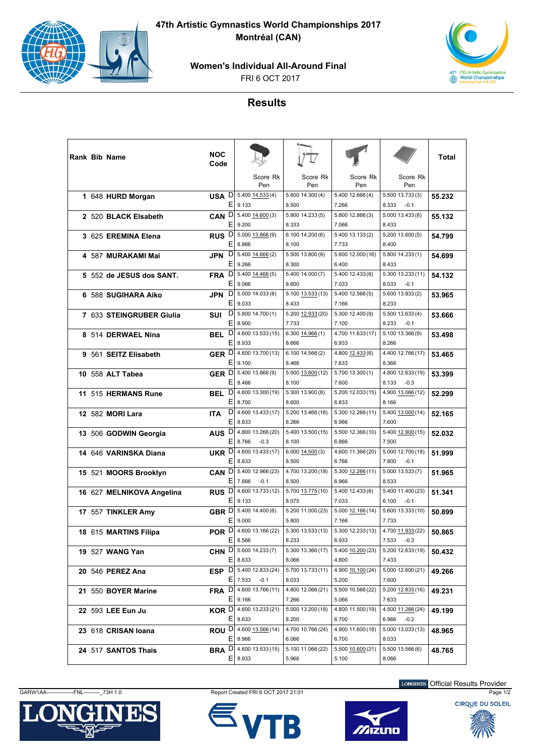

**47th Artistic Gymnastics World Championships 2017 Montréal (CAN)**

**Women's Individual All-Around Final**

FRI 6 OCT 2017



## **Results**

| <b>Rank Bib Name</b>      | <b>NOC</b><br>Code     |                                                 |                              |                            |                                      | Total  |
|---------------------------|------------------------|-------------------------------------------------|------------------------------|----------------------------|--------------------------------------|--------|
|                           |                        | Score Rk<br>Pen                                 | Score Rk<br>Pen              | Score Rk<br>Pen            | Score Rk<br>Pen                      |        |
| 1 648 HURD Morgan         | E.                     | <b>USA</b> $D  5.400 14.533(4)$<br>9.133        | 5.800 14.300 (4)<br>8.500    | 5.400 12.666 (4)<br>7.266  | 5.500 13.733(3)<br>8.333<br>$-0.1$   | 55.232 |
| 2 520 BLACK Elsabeth      | CAN <sup>D</sup><br>Ε  | 5.400 14.600 (3)<br>9.200                       | 5.900 14.233 (5)<br>8.333    | 5.800 12.866 (3)<br>7.066  | 5.000 13.433 (8)<br>8.433            | 55.132 |
| 3 625 EREMINA Elena       | RUS <sup>D</sup><br>Е  | 5.000 13.866 (9)<br>8.866                       | 6.10014.200(6)<br>8.100      | 5.400 13.133 (2)<br>7.733  | 5.20013.600(5)<br>8.400              | 54.799 |
| 4 587 MURAKAMI Mai        | D<br><b>JPN</b><br>E   | 5.400 14.666 (2)<br>9.266                       | 5.500 13.800 (9)<br>8.300    | 5.600 12.000 (16)<br>6.400 | 5.800 14.233 (1)<br>8.433            | 54.699 |
| 5 552 de JESUS dos SANT.  | FRA <sup>D</sup><br>Е  | 5.400 14.466 (5)<br>9.066                       | 5.400 14.000 (7)<br>8.600    | 5.400 12.433 (6)<br>7.033  | 5.300 13.233 (11)<br>8.033<br>$-0.1$ | 54.132 |
| 6 588 SUGIHARA Aiko       | D<br>JPN<br>E.         | 5.000 14.033 (8)<br>9.033                       | 5.100 13.533 (13)<br>8.433   | 5.400 12.566 (5)<br>7.166  | 5.600 13.833(2)<br>8.233             | 53.965 |
| 7 633 STEINGRUBER Giulia  | D<br>SUI<br>E.         | 5.800 14.700 (1)<br>8.900                       | 5.200 12.933 (20)<br>7.733   | 5.300 12.400 (9)<br>7.100  | 5.500 13.633(4)<br>8.233<br>$-0.1$   | 53.666 |
| 8 514 DERWAEL Nina        | D<br><b>BEL</b><br>Ε   | 4.600 13.533 (15)<br>8.933                      | 6.300 14.966 (1)<br>8.666    | 4.700 11.633 (17)<br>6.933 | 5.100 13.366 (9)<br>8.266            | 53.498 |
| 9 561 SEITZ Elisabeth     | GER D<br>Е             | 4.600 13.700 (13)<br>9.100                      | 6.10014.566(2)<br>8.466      | 4.800 12.433 (6)<br>7.633  | 4.400 12.766 (17)<br>8.366           | 53.465 |
| 10 558 ALT Tabea          | GER D<br>Е             | 5.400 13.866 (9)<br>8.466                       | 5.500 13.600 (12)<br>8.100   | 5.700 13.300 (1)<br>7.600  | 4.800 12.633 (19)<br>8.133<br>$-0.3$ | 53.399 |
| 11 515 HERMANS Rune       | D<br><b>BEL</b><br>E   | 4.600 13.300 (19)<br>8.700                      | 5.300 13.900 (8)<br>8.600    | 5.200 12.033 (15)<br>6.833 | 4.900 13.066 (12)<br>8.166           | 52.299 |
| 12 582 MORI Lara          | D<br><b>ITA</b><br>Е   | 4.600 13.433 (17)<br>8.833                      | 5.200 13.466 (16)<br>8.266   | 5.300 12.266 (11)<br>6.966 | 5.400 13.000 (14)<br>7.600           | 52.165 |
| 13 506 GODWIN Georgia     | AUS <sup>D</sup><br>E. | 4.800 13.266 (20)<br>8.766<br>$-0.3$            | 5.400 13.500 (15)<br>8.100   | 5.500 12.366 (10)<br>6.866 | 5.400 12.900 (15)<br>7.500           | 52.032 |
| 14 646 VARINSKA Diana     | UKR D<br>Ε             | 4.600 13.433 (17)<br>8.833                      | $6.000$ $14.500(3)$<br>8.500 | 4.600 11.366 (20)<br>6.766 | 5.000 12.700 (18)<br>7.800<br>$-0.1$ | 51.999 |
| 15 521 MOORS Brooklyn     | CAN <sup>D</sup><br>Е  | 5.400 12.966 (23)<br>7.666<br>$-0.1$            | 4.700 13.200 (18)<br>8.500   | 5.300 12.266 (11)<br>6.966 | 5.000 13.533 (7)<br>8.533            | 51.965 |
| 16 627 MELNIKOVA Angelina | RUS <sup>D</sup><br>E. | 4.600 13.733 (12)<br>9.133                      | 5.700 13.775 (10)<br>8.075   | 5.400 12.433 (6)<br>7.033  | 5.400 11.400 (23)<br>6.100<br>$-0.1$ | 51.341 |
| 17 557 TINKLER Amy        | GBR D<br>E             | 5.400 14.400 (6)<br>9.000                       | 5.200 11.000 (23)<br>5.800   | 5.000 12.166 (14)<br>7.166 | 5.600 13.333 (10)<br>7.733           | 50.899 |
| 18 615 MARTINS Filipa     | POR <sup>D</sup><br>Е  | 4.600 13.166 (22)<br>8.566                      | 5.300 13.533 (13)<br>8.233   | 5.300 12.233 (13)<br>6.933 | 4.700 11.933 (22)<br>7.533<br>$-0.3$ | 50.865 |
| 19 527 WANG Yan           |                        | CHN D 5.600 14.233 (7)<br>$E$ 8.633             | 5.300 13.366 (17)<br>8.066   | 5.400 10.200 (23)<br>4.800 | 5.200 12.633 (19)<br>7.433           | 50.432 |
| 20 546 PEREZ Ana          |                        | ESP $D  5.400 12.833(24)$<br>$E$   7.533 -0.1   | 5.700 13.733 (11)<br>8.033   | 4.900 10.100 (24)<br>5.200 | 5.000 12.600 (21)<br>7.600           | 49.266 |
| 21 550 BOYER Marine       | FRA D                  | 4.600 13.766 (11)<br>$E$   9.166                | 4.800 12.066 (21)<br>7.266   | 5.500 10.566 (22)<br>5.066 | 5.200 12.833 (16)<br>7.633           | 49.231 |
| 22 593 LEE Eun Ju         |                        | <b>KOR</b> $D$ 4.600 13.233 (21)<br>$E$   8.633 | 5.000 13.200 (18)<br>8.200   | 4.800 11.500 (19)<br>6.700 | 4.500 11.266 (24)<br>6.966<br>$-0.2$ | 49.199 |
| 23 618 CRISAN Ioana       |                        | <b>ROU</b> $D$ 4.600 13.566 (14)<br>$E$   8.966 | 4.700 10.766 (24)<br>6.066   | 4.900 11.600 (18)<br>6.700 | 5.000 13.033 (13)<br>8.033           | 48.965 |
| 24 517 SANTOS Thais       | BRA <sup>D</sup><br>Εļ | 4.600 13.533 (15)<br>8.933                      | 5.100 11.066 (22)<br>5.966   | 5.500 10.600 (21)<br>5.100 | 5.500 13.566 (6)<br>8.066            | 48.765 |

GARW1AA---------------FNL---------\_73H 1.0 Report Created FRI 6 OCT 2017 21:01 Page 1/2







LONGINES Official Results Provider